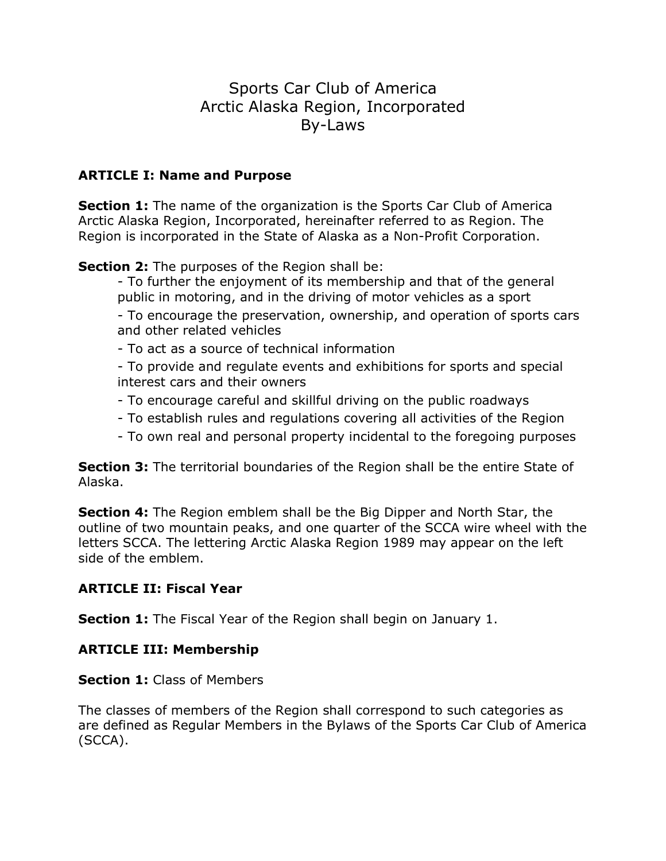# Sports Car Club of America Arctic Alaska Region, Incorporated By-Laws

# **ARTICLE I: Name and Purpose**

**Section 1:** The name of the organization is the Sports Car Club of America Arctic Alaska Region, Incorporated, hereinafter referred to as Region. The Region is incorporated in the State of Alaska as a Non-Profit Corporation.

**Section 2:** The purposes of the Region shall be:

- To further the enjoyment of its membership and that of the general public in motoring, and in the driving of motor vehicles as a sport

- To encourage the preservation, ownership, and operation of sports cars and other related vehicles

- To act as a source of technical information

- To provide and regulate events and exhibitions for sports and special interest cars and their owners

- To encourage careful and skillful driving on the public roadways
- To establish rules and regulations covering all activities of the Region
- To own real and personal property incidental to the foregoing purposes

**Section 3:** The territorial boundaries of the Region shall be the entire State of Alaska.

**Section 4:** The Region emblem shall be the Big Dipper and North Star, the outline of two mountain peaks, and one quarter of the SCCA wire wheel with the letters SCCA. The lettering Arctic Alaska Region 1989 may appear on the left side of the emblem.

# **ARTICLE II: Fiscal Year**

**Section 1:** The Fiscal Year of the Region shall begin on January 1.

# **ARTICLE III: Membership**

# **Section 1: Class of Members**

The classes of members of the Region shall correspond to such categories as are defined as Regular Members in the Bylaws of the Sports Car Club of America (SCCA).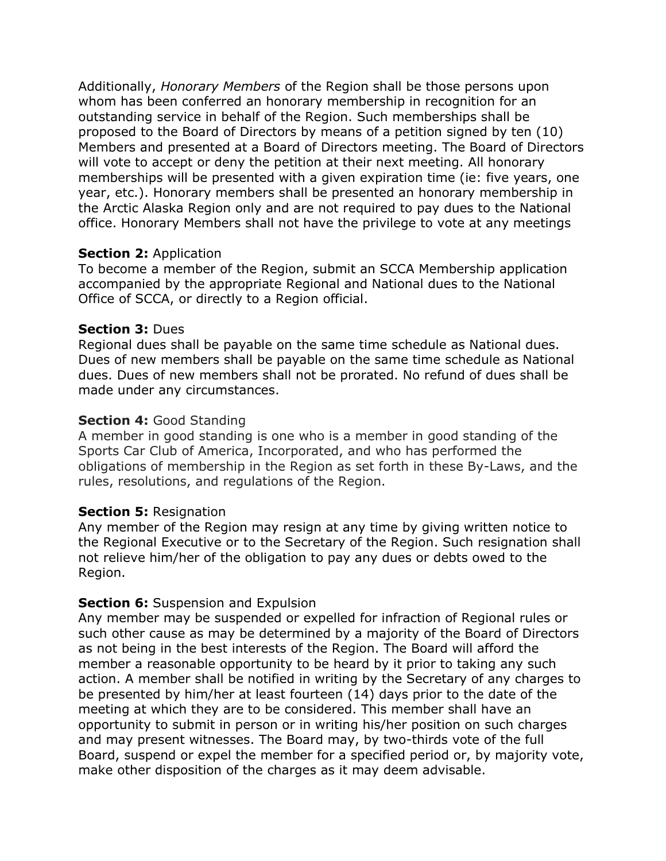Additionally, *Honorary Members* of the Region shall be those persons upon whom has been conferred an honorary membership in recognition for an outstanding service in behalf of the Region. Such memberships shall be proposed to the Board of Directors by means of a petition signed by ten (10) Members and presented at a Board of Directors meeting. The Board of Directors will vote to accept or deny the petition at their next meeting. All honorary memberships will be presented with a given expiration time (ie: five years, one year, etc.). Honorary members shall be presented an honorary membership in the Arctic Alaska Region only and are not required to pay dues to the National office. Honorary Members shall not have the privilege to vote at any meetings

#### **Section 2: Application**

To become a member of the Region, submit an SCCA Membership application accompanied by the appropriate Regional and National dues to the National Office of SCCA, or directly to a Region official.

#### **Section 3:** Dues

Regional dues shall be payable on the same time schedule as National dues. Dues of new members shall be payable on the same time schedule as National dues. Dues of new members shall not be prorated. No refund of dues shall be made under any circumstances.

### **Section 4:** Good Standing

A member in good standing is one who is a member in good standing of the Sports Car Club of America, Incorporated, and who has performed the obligations of membership in the Region as set forth in these By-Laws, and the rules, resolutions, and regulations of the Region.

### **Section 5:** Resignation

Any member of the Region may resign at any time by giving written notice to the Regional Executive or to the Secretary of the Region. Such resignation shall not relieve him/her of the obligation to pay any dues or debts owed to the Region.

### **Section 6:** Suspension and Expulsion

Any member may be suspended or expelled for infraction of Regional rules or such other cause as may be determined by a majority of the Board of Directors as not being in the best interests of the Region. The Board will afford the member a reasonable opportunity to be heard by it prior to taking any such action. A member shall be notified in writing by the Secretary of any charges to be presented by him/her at least fourteen (14) days prior to the date of the meeting at which they are to be considered. This member shall have an opportunity to submit in person or in writing his/her position on such charges and may present witnesses. The Board may, by two-thirds vote of the full Board, suspend or expel the member for a specified period or, by majority vote, make other disposition of the charges as it may deem advisable.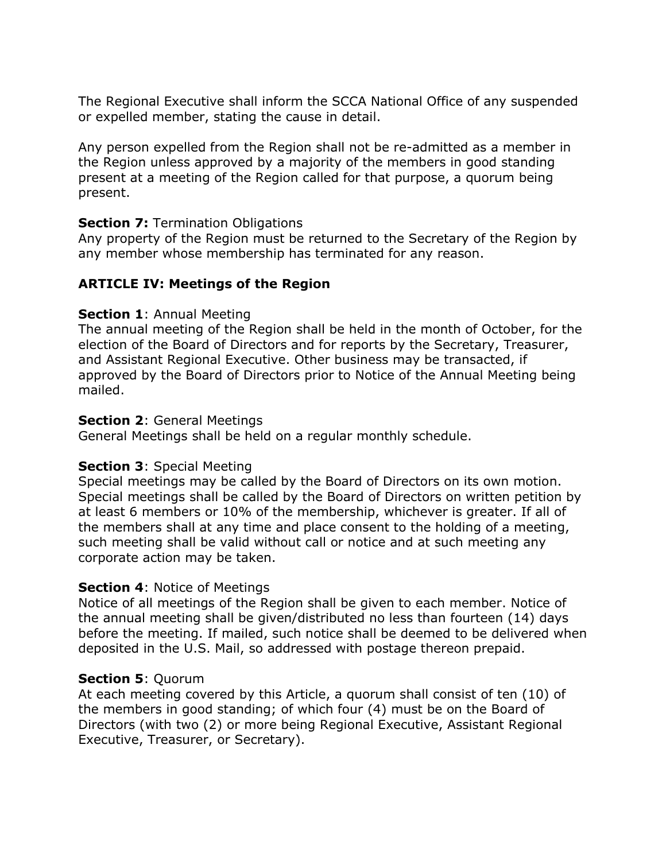The Regional Executive shall inform the SCCA National Office of any suspended or expelled member, stating the cause in detail.

Any person expelled from the Region shall not be re-admitted as a member in the Region unless approved by a majority of the members in good standing present at a meeting of the Region called for that purpose, a quorum being present.

## **Section 7: Termination Obligations**

Any property of the Region must be returned to the Secretary of the Region by any member whose membership has terminated for any reason.

# **ARTICLE IV: Meetings of the Region**

## **Section 1**: Annual Meeting

The annual meeting of the Region shall be held in the month of October, for the election of the Board of Directors and for reports by the Secretary, Treasurer, and Assistant Regional Executive. Other business may be transacted, if approved by the Board of Directors prior to Notice of the Annual Meeting being mailed.

## **Section 2**: General Meetings

General Meetings shall be held on a regular monthly schedule.

# **Section 3**: Special Meeting

Special meetings may be called by the Board of Directors on its own motion. Special meetings shall be called by the Board of Directors on written petition by at least 6 members or 10% of the membership, whichever is greater. If all of the members shall at any time and place consent to the holding of a meeting, such meeting shall be valid without call or notice and at such meeting any corporate action may be taken.

# **Section 4**: Notice of Meetings

Notice of all meetings of the Region shall be given to each member. Notice of the annual meeting shall be given/distributed no less than fourteen (14) days before the meeting. If mailed, such notice shall be deemed to be delivered when deposited in the U.S. Mail, so addressed with postage thereon prepaid.

# **Section 5**: Quorum

At each meeting covered by this Article, a quorum shall consist of ten (10) of the members in good standing; of which four (4) must be on the Board of Directors (with two (2) or more being Regional Executive, Assistant Regional Executive, Treasurer, or Secretary).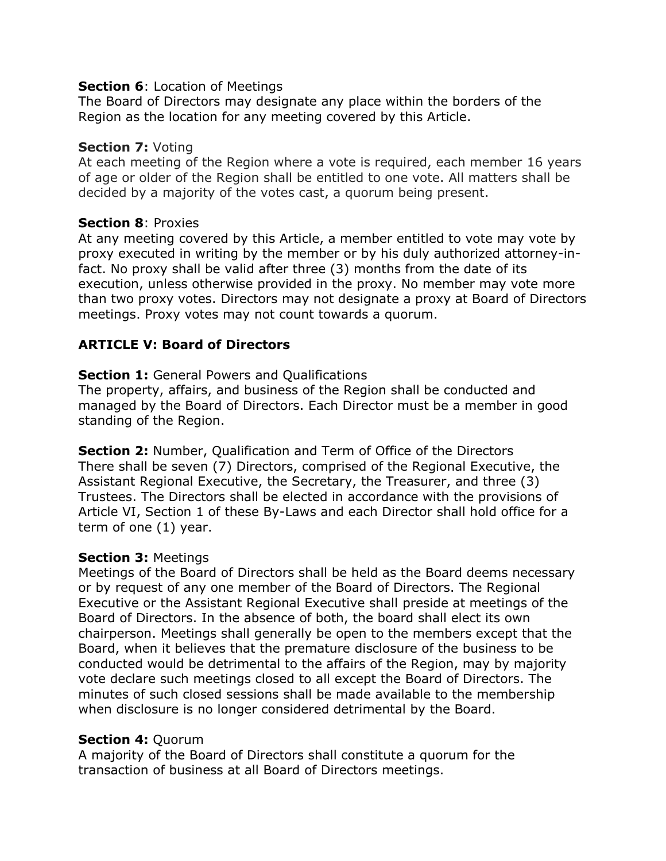### **Section 6:** Location of Meetings

The Board of Directors may designate any place within the borders of the Region as the location for any meeting covered by this Article.

#### **Section 7:** Voting

At each meeting of the Region where a vote is required, each member 16 years of age or older of the Region shall be entitled to one vote. All matters shall be decided by a majority of the votes cast, a quorum being present.

### **Section 8**: Proxies

At any meeting covered by this Article, a member entitled to vote may vote by proxy executed in writing by the member or by his duly authorized attorney-infact. No proxy shall be valid after three (3) months from the date of its execution, unless otherwise provided in the proxy. No member may vote more than two proxy votes. Directors may not designate a proxy at Board of Directors meetings. Proxy votes may not count towards a quorum.

## **ARTICLE V: Board of Directors**

### **Section 1:** General Powers and Qualifications

The property, affairs, and business of the Region shall be conducted and managed by the Board of Directors. Each Director must be a member in good standing of the Region.

**Section 2:** Number, Qualification and Term of Office of the Directors There shall be seven (7) Directors, comprised of the Regional Executive, the Assistant Regional Executive, the Secretary, the Treasurer, and three (3) Trustees. The Directors shall be elected in accordance with the provisions of Article VI, Section 1 of these By-Laws and each Director shall hold office for a term of one (1) year.

#### **Section 3:** Meetings

Meetings of the Board of Directors shall be held as the Board deems necessary or by request of any one member of the Board of Directors. The Regional Executive or the Assistant Regional Executive shall preside at meetings of the Board of Directors. In the absence of both, the board shall elect its own chairperson. Meetings shall generally be open to the members except that the Board, when it believes that the premature disclosure of the business to be conducted would be detrimental to the affairs of the Region, may by majority vote declare such meetings closed to all except the Board of Directors. The minutes of such closed sessions shall be made available to the membership when disclosure is no longer considered detrimental by the Board.

### **Section 4:** Quorum

A majority of the Board of Directors shall constitute a quorum for the transaction of business at all Board of Directors meetings.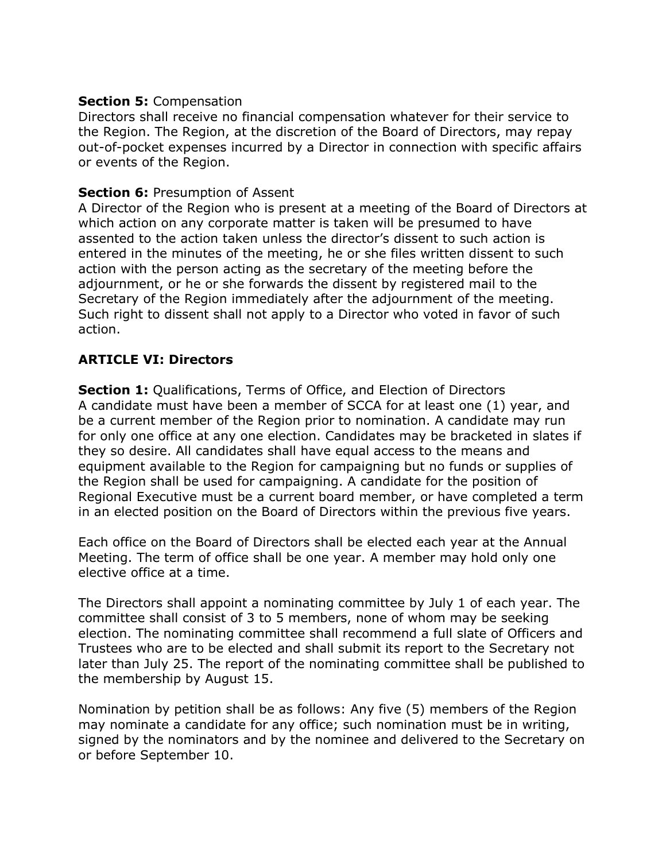### **Section 5:** Compensation

Directors shall receive no financial compensation whatever for their service to the Region. The Region, at the discretion of the Board of Directors, may repay out-of-pocket expenses incurred by a Director in connection with specific affairs or events of the Region.

# **Section 6: Presumption of Assent**

A Director of the Region who is present at a meeting of the Board of Directors at which action on any corporate matter is taken will be presumed to have assented to the action taken unless the director's dissent to such action is entered in the minutes of the meeting, he or she files written dissent to such action with the person acting as the secretary of the meeting before the adjournment, or he or she forwards the dissent by registered mail to the Secretary of the Region immediately after the adjournment of the meeting. Such right to dissent shall not apply to a Director who voted in favor of such action.

# **ARTICLE VI: Directors**

**Section 1:** Qualifications, Terms of Office, and Election of Directors A candidate must have been a member of SCCA for at least one (1) year, and be a current member of the Region prior to nomination. A candidate may run for only one office at any one election. Candidates may be bracketed in slates if they so desire. All candidates shall have equal access to the means and equipment available to the Region for campaigning but no funds or supplies of the Region shall be used for campaigning. A candidate for the position of Regional Executive must be a current board member, or have completed a term in an elected position on the Board of Directors within the previous five years.

Each office on the Board of Directors shall be elected each year at the Annual Meeting. The term of office shall be one year. A member may hold only one elective office at a time.

The Directors shall appoint a nominating committee by July 1 of each year. The committee shall consist of 3 to 5 members, none of whom may be seeking election. The nominating committee shall recommend a full slate of Officers and Trustees who are to be elected and shall submit its report to the Secretary not later than July 25. The report of the nominating committee shall be published to the membership by August 15.

Nomination by petition shall be as follows: Any five (5) members of the Region may nominate a candidate for any office; such nomination must be in writing, signed by the nominators and by the nominee and delivered to the Secretary on or before September 10.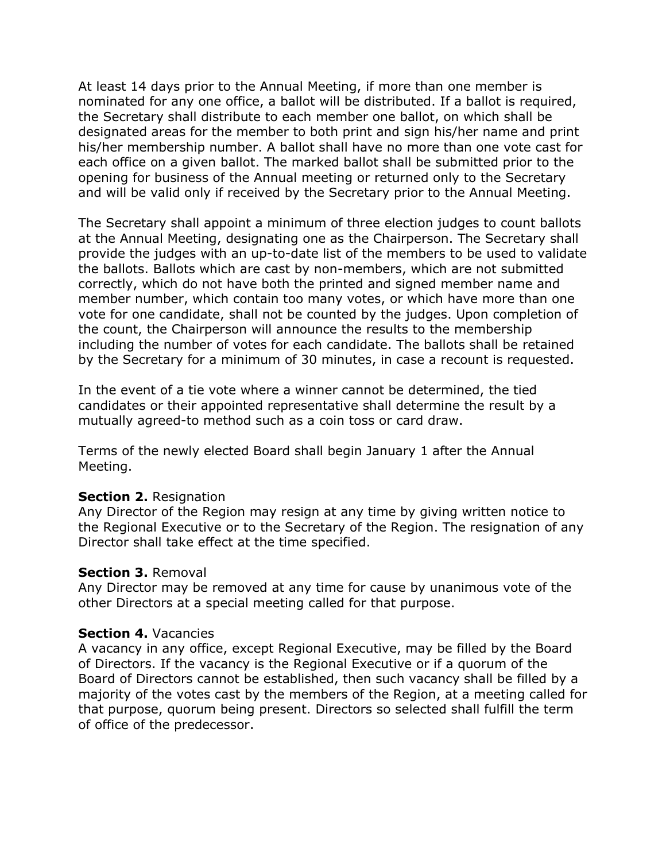At least 14 days prior to the Annual Meeting, if more than one member is nominated for any one office, a ballot will be distributed. If a ballot is required, the Secretary shall distribute to each member one ballot, on which shall be designated areas for the member to both print and sign his/her name and print his/her membership number. A ballot shall have no more than one vote cast for each office on a given ballot. The marked ballot shall be submitted prior to the opening for business of the Annual meeting or returned only to the Secretary and will be valid only if received by the Secretary prior to the Annual Meeting.

The Secretary shall appoint a minimum of three election judges to count ballots at the Annual Meeting, designating one as the Chairperson. The Secretary shall provide the judges with an up-to-date list of the members to be used to validate the ballots. Ballots which are cast by non-members, which are not submitted correctly, which do not have both the printed and signed member name and member number, which contain too many votes, or which have more than one vote for one candidate, shall not be counted by the judges. Upon completion of the count, the Chairperson will announce the results to the membership including the number of votes for each candidate. The ballots shall be retained by the Secretary for a minimum of 30 minutes, in case a recount is requested.

In the event of a tie vote where a winner cannot be determined, the tied candidates or their appointed representative shall determine the result by a mutually agreed-to method such as a coin toss or card draw.

Terms of the newly elected Board shall begin January 1 after the Annual Meeting.

### **Section 2.** Resignation

Any Director of the Region may resign at any time by giving written notice to the Regional Executive or to the Secretary of the Region. The resignation of any Director shall take effect at the time specified.

#### **Section 3.** Removal

Any Director may be removed at any time for cause by unanimous vote of the other Directors at a special meeting called for that purpose.

#### **Section 4.** Vacancies

A vacancy in any office, except Regional Executive, may be filled by the Board of Directors. If the vacancy is the Regional Executive or if a quorum of the Board of Directors cannot be established, then such vacancy shall be filled by a majority of the votes cast by the members of the Region, at a meeting called for that purpose, quorum being present. Directors so selected shall fulfill the term of office of the predecessor.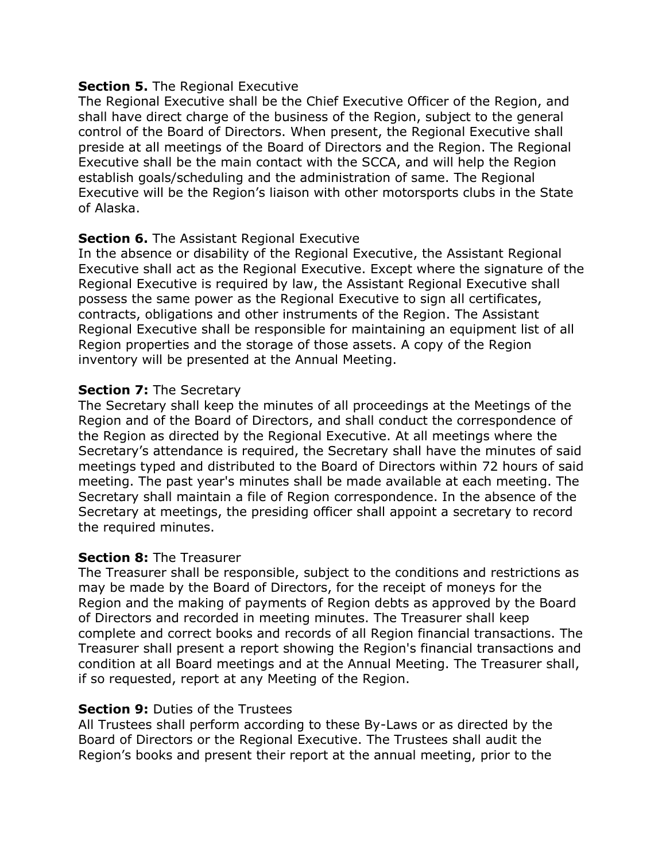### **Section 5.** The Regional Executive

The Regional Executive shall be the Chief Executive Officer of the Region, and shall have direct charge of the business of the Region, subject to the general control of the Board of Directors. When present, the Regional Executive shall preside at all meetings of the Board of Directors and the Region. The Regional Executive shall be the main contact with the SCCA, and will help the Region establish goals/scheduling and the administration of same. The Regional Executive will be the Region's liaison with other motorsports clubs in the State of Alaska.

#### **Section 6.** The Assistant Regional Executive

In the absence or disability of the Regional Executive, the Assistant Regional Executive shall act as the Regional Executive. Except where the signature of the Regional Executive is required by law, the Assistant Regional Executive shall possess the same power as the Regional Executive to sign all certificates, contracts, obligations and other instruments of the Region. The Assistant Regional Executive shall be responsible for maintaining an equipment list of all Region properties and the storage of those assets. A copy of the Region inventory will be presented at the Annual Meeting.

#### **Section 7: The Secretary**

The Secretary shall keep the minutes of all proceedings at the Meetings of the Region and of the Board of Directors, and shall conduct the correspondence of the Region as directed by the Regional Executive. At all meetings where the Secretary's attendance is required, the Secretary shall have the minutes of said meetings typed and distributed to the Board of Directors within 72 hours of said meeting. The past year's minutes shall be made available at each meeting. The Secretary shall maintain a file of Region correspondence. In the absence of the Secretary at meetings, the presiding officer shall appoint a secretary to record the required minutes.

#### **Section 8:** The Treasurer

The Treasurer shall be responsible, subject to the conditions and restrictions as may be made by the Board of Directors, for the receipt of moneys for the Region and the making of payments of Region debts as approved by the Board of Directors and recorded in meeting minutes. The Treasurer shall keep complete and correct books and records of all Region financial transactions. The Treasurer shall present a report showing the Region's financial transactions and condition at all Board meetings and at the Annual Meeting. The Treasurer shall, if so requested, report at any Meeting of the Region.

### **Section 9:** Duties of the Trustees

All Trustees shall perform according to these By-Laws or as directed by the Board of Directors or the Regional Executive. The Trustees shall audit the Region's books and present their report at the annual meeting, prior to the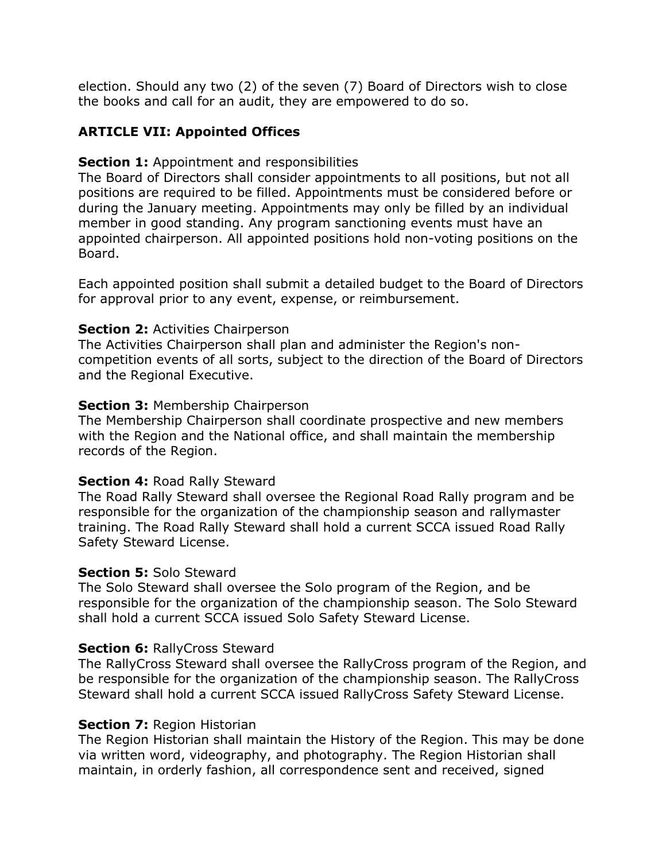election. Should any two (2) of the seven (7) Board of Directors wish to close the books and call for an audit, they are empowered to do so.

# **ARTICLE VII: Appointed Offices**

## **Section 1:** Appointment and responsibilities

The Board of Directors shall consider appointments to all positions, but not all positions are required to be filled. Appointments must be considered before or during the January meeting. Appointments may only be filled by an individual member in good standing. Any program sanctioning events must have an appointed chairperson. All appointed positions hold non-voting positions on the Board.

Each appointed position shall submit a detailed budget to the Board of Directors for approval prior to any event, expense, or reimbursement.

## **Section 2: Activities Chairperson**

The Activities Chairperson shall plan and administer the Region's noncompetition events of all sorts, subject to the direction of the Board of Directors and the Regional Executive.

## **Section 3:** Membership Chairperson

The Membership Chairperson shall coordinate prospective and new members with the Region and the National office, and shall maintain the membership records of the Region.

# **Section 4:** Road Rally Steward

The Road Rally Steward shall oversee the Regional Road Rally program and be responsible for the organization of the championship season and rallymaster training. The Road Rally Steward shall hold a current SCCA issued Road Rally Safety Steward License.

### **Section 5:** Solo Steward

The Solo Steward shall oversee the Solo program of the Region, and be responsible for the organization of the championship season. The Solo Steward shall hold a current SCCA issued Solo Safety Steward License.

# **Section 6:** RallyCross Steward

The RallyCross Steward shall oversee the RallyCross program of the Region, and be responsible for the organization of the championship season. The RallyCross Steward shall hold a current SCCA issued RallyCross Safety Steward License.

### **Section 7: Region Historian**

The Region Historian shall maintain the History of the Region. This may be done via written word, videography, and photography. The Region Historian shall maintain, in orderly fashion, all correspondence sent and received, signed